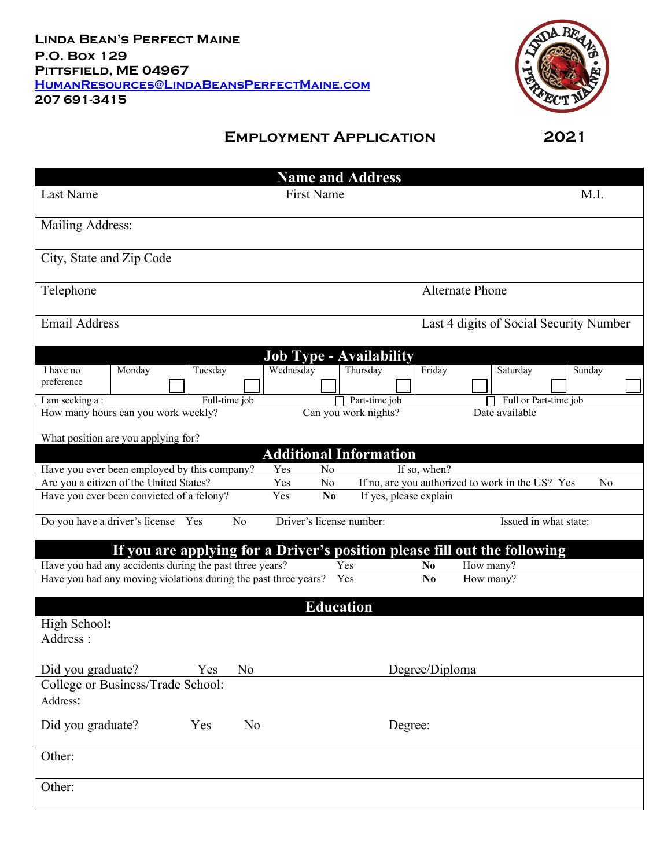

## **Employment Application 2021**

|                                                                                                                                                                      |                                                                           |               |                |                   |                | <b>Name and Address</b>        |                |                |                        |                       |  |        |
|----------------------------------------------------------------------------------------------------------------------------------------------------------------------|---------------------------------------------------------------------------|---------------|----------------|-------------------|----------------|--------------------------------|----------------|----------------|------------------------|-----------------------|--|--------|
| Last Name                                                                                                                                                            |                                                                           |               |                | <b>First Name</b> |                |                                |                |                |                        |                       |  | M.I.   |
| Mailing Address:                                                                                                                                                     |                                                                           |               |                |                   |                |                                |                |                |                        |                       |  |        |
| City, State and Zip Code                                                                                                                                             |                                                                           |               |                |                   |                |                                |                |                |                        |                       |  |        |
| Telephone                                                                                                                                                            |                                                                           |               |                |                   |                |                                |                |                | <b>Alternate Phone</b> |                       |  |        |
| <b>Email Address</b><br>Last 4 digits of Social Security Number                                                                                                      |                                                                           |               |                |                   |                |                                |                |                |                        |                       |  |        |
|                                                                                                                                                                      |                                                                           |               |                |                   |                | <b>Job Type - Availability</b> |                |                |                        |                       |  |        |
| I have no                                                                                                                                                            | Monday                                                                    | Tuesday       |                | Wednesday         |                | Thursday                       |                | Friday         |                        | Saturday              |  | Sunday |
| preference                                                                                                                                                           |                                                                           |               |                |                   |                |                                |                |                |                        |                       |  |        |
| I am seeking a:                                                                                                                                                      |                                                                           | Full-time job |                |                   |                | Part-time job                  |                |                |                        | Full or Part-time job |  |        |
|                                                                                                                                                                      | How many hours can you work weekly?                                       |               |                |                   |                | Can you work nights?           |                |                |                        | Date available        |  |        |
|                                                                                                                                                                      |                                                                           |               |                |                   |                |                                |                |                |                        |                       |  |        |
|                                                                                                                                                                      | What position are you applying for?                                       |               |                |                   |                |                                |                |                |                        |                       |  |        |
|                                                                                                                                                                      |                                                                           |               |                |                   |                | <b>Additional Information</b>  |                |                |                        |                       |  |        |
|                                                                                                                                                                      |                                                                           |               |                | Yes               | No             |                                | If so, when?   |                |                        |                       |  |        |
| Have you ever been employed by this company?<br>Are you a citizen of the United States?<br>N <sub>o</sub><br>If no, are you authorized to work in the US? Yes<br>Yes |                                                                           |               |                |                   |                |                                |                | N <sub>0</sub> |                        |                       |  |        |
|                                                                                                                                                                      | Have you ever been convicted of a felony?                                 |               |                | Yes               | N <sub>0</sub> | If yes, please explain         |                |                |                        |                       |  |        |
| Driver's license number:<br>Issued in what state:<br>Do you have a driver's license<br>N <sub>o</sub><br>Yes                                                         |                                                                           |               |                |                   |                |                                |                |                |                        |                       |  |        |
|                                                                                                                                                                      | If you are applying for a Driver's position please fill out the following |               |                |                   |                |                                |                |                |                        |                       |  |        |
|                                                                                                                                                                      | Have you had any accidents during the past three years?                   |               |                |                   |                | Yes                            | N <sub>0</sub> |                |                        | How many?             |  |        |
| Have you had any moving violations during the past three years?<br>Yes<br>N <sub>0</sub>                                                                             |                                                                           |               |                |                   | How many?      |                                |                |                |                        |                       |  |        |
|                                                                                                                                                                      |                                                                           |               |                |                   |                | <b>Education</b>               |                |                |                        |                       |  |        |
| High School:<br>Address:                                                                                                                                             |                                                                           |               |                |                   |                |                                |                |                |                        |                       |  |        |
| Did you graduate?                                                                                                                                                    |                                                                           | Yes           | N <sub>0</sub> |                   |                |                                | Degree/Diploma |                |                        |                       |  |        |
|                                                                                                                                                                      | College or Business/Trade School:                                         |               |                |                   |                |                                |                |                |                        |                       |  |        |
| Address:                                                                                                                                                             |                                                                           |               |                |                   |                |                                |                |                |                        |                       |  |        |
| Did you graduate?                                                                                                                                                    |                                                                           | Yes           | N <sub>0</sub> |                   |                |                                | Degree:        |                |                        |                       |  |        |
| Other:                                                                                                                                                               |                                                                           |               |                |                   |                |                                |                |                |                        |                       |  |        |
| Other:                                                                                                                                                               |                                                                           |               |                |                   |                |                                |                |                |                        |                       |  |        |